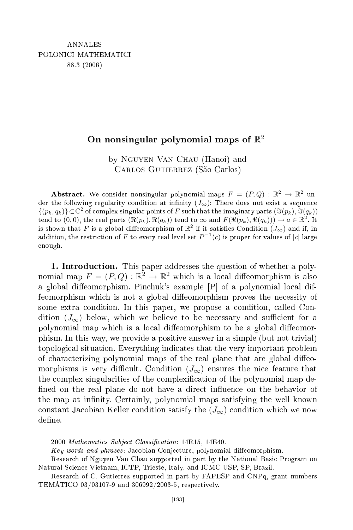## nonsingular polynomial maps of  $\mathbb{R}^2$

by Nguyen Van Chau (Hanoi) and Carlos Gutierrez (São Carlos)

**Abstract.** We consider nonsingular polynomial maps  $F = (P,Q) : \mathbb{R}^2 \to \mathbb{R}^2$  under the following regularity condition at infinity  $(J_{\infty})$ : There does not exist a sequence  $\{(p_k, q_k)\}\subset\mathbb{C}^2$  of complex singular points of F such that the imaginary parts  $(\Im(p_k), \Im(q_k))$ tend to  $(0,0)$ , the real parts  $(\Re(p_k), \Re(q_k))$  tend to  $\infty$  and  $F(\Re(p_k), \Re(q_k)) \to a \in \mathbb{R}^2$ . It is shown that F is a global diffeomorphism of  $\mathbb{R}^2$  if it satisfies Condition  $(J_{\infty})$  and if, in addition, the restriction of F to every real level set  $P^{-1}(c)$  is proper for values of  $|c|$  large enough.

1. Introduction. This paper addresses the question of whether a polynomial map  $F = (P, Q) : \mathbb{R}^2 \to \mathbb{R}^2$  which is a local diffeomorphism is also a global diffeomorphism. Pinchuk's example [P] of a polynomial local diffeomorphism which is not a global diffeomorphism proves the necessity of some extra ondition. In this paper, we propose a ondition, alled Condition  $(J_{\infty})$  below, which we believe to be necessary and sufficient for a polynomial map which is a local diffeomorphism to be a global diffeomorphism. In this way, we provide a positive answer in a simple (but not trivial) topologi
al situation. Everything indi
ates that the very important problem of characterizing polynomial maps of the real plane that are global diffeomorphisms is very difficult. Condition  $(J_{\infty})$  ensures the nice feature that the omplex singularities of the omplexi
ation of the polynomial map de fined on the real plane do not have a direct influence on the behavior of the map at infinity. Certainly, polynomial maps satisfying the well known constant Jacobian Keller condition satisfy the  $(J_{\infty})$  condition which we now define.

<sup>2000</sup> Mathematics Subject Classification: 14R15, 14E40.

Key words and phrases: Jacobian Conjecture, polynomial diffeomorphism.

Resear
h of Nguyen Van Chau supported in part by the National Basi Program on Natural S
ien
e Vietnam, ICTP, Trieste, Italy, and ICMC-USP, SP, Brazil.

Resear
h of C. Gutierrez supported in part by FAPESP and CNPq, grant numbers TEMÁTICO 03/03107-9 and 306992/2003-5, respe
tively.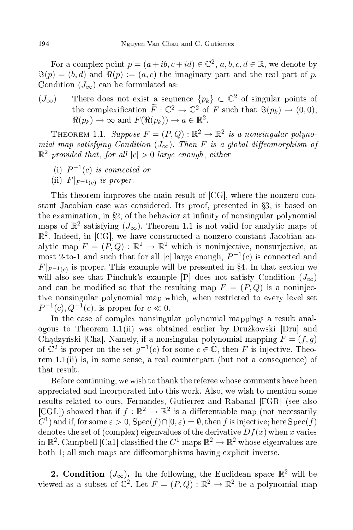For a complex point  $p = (a + ib, c + id) \in \mathbb{C}^2$ ,  $a, b, c, d \in \mathbb{R}$ , we denote by  $\Im(p) = (b, d)$  and  $\Re(p) := (a, c)$  the imaginary part and the real part of p. Condition  $(J_{\infty})$  can be formulated as:

 $(J_{\infty})$  There does not exist a sequence  $\{p_k\} \subset \mathbb{C}^2$  of singular points of the complexification  $\tilde{F}: \mathbb{C}^2 \to \mathbb{C}^2$  of F such that  $\Im(p_k) \to (0,0)$ ,  $\Re(p_k) \to \infty$  and  $F(\Re(p_k)) \to a \in \mathbb{R}^2$ .

THEOREM 1.1. Suppose  $F = (P, Q) : \mathbb{R}^2 \to \mathbb{R}^2$  is a nonsingular polynomial map satisfying Condition  $(J_{\infty})$ . Then F is a global diffeomorphism of  $\mathbb{R}^2$  provided that, for all  $|c| > 0$  large enough, either

- (i)  $P^{-1}(c)$  is connected or
- (ii)  $F|_{P^{-1}(c)}$  is proper.

This theorem improves the main result of [CG], where the nonzero constant Jacobian case was considered. Its proof, presented in  $\S$ 3, is based on the examination, in  $\S2$ , of the behavior at infinity of nonsingular polynomial maps of  $\mathbb{R}^2$  satisfying  $(J_{\infty})$ . Theorem 1.1 is not valid for analytic maps of  $\mathbb{R}^2$ . Indeed, in [CG], we have constructed a nonzero constant Jacobian analytic map  $F = (P,Q) : \mathbb{R}^2 \to \mathbb{R}^2$  which is noninjective, nonsurjective, at most 2-to-1 and such that for all |c| large enough,  $P^{-1}(c)$  is connected and  $F|_{P^{-1}(c)}$  is proper. This example will be presented in §4. In that section we will also see that Pinchuk's example [P] does not satisfy Condition  $(J_{\infty})$ and can be modified so that the resulting map  $F = (P,Q)$  is a noninjective nonsingular polynomial map whi
h, when restri
ted to every level set  $P^{-1}(c)$ ,  $Q^{-1}(c)$ , is proper for  $c \ll 0$ .

In the ase of omplex nonsingular polynomial mappings a result analogous to Theorem 1.1(ii) was obtained earlier by Druzkowski [Dru] and Chadzyński [Cha]. Namely, if a nonsingular polynomial mapping  $F = (f, q)$ of  $\mathbb{C}^2$  is proper on the set  $g^{-1}(c)$  for some  $c \in \mathbb{C}$ , then F is injective. Theorem 1.1(ii) is, in some sense, a real counterpart (but not a consequence) of that result.

Before ontinuing, we wish to thank the referee whose omments have been appre
iated and in
orporated into this work. Also, we wish to mention some results related to ours. Fernandes, Gutierrez and Rabanal [FGR] (see also [CGL]) showed that if  $f : \mathbb{R}^2 \to \mathbb{R}^2$  is a differentiable map (not necessarily C<sup>1</sup>) and if, for some  $\varepsilon > 0$ ,  $\text{Spec}(f) \cap [0, \varepsilon) = \emptyset$ , then f is injective; here  $\text{Spec}(f)$ denotes the set of (complex) eigenvalues of the derivative  $Df(x)$  when x varies in  $\mathbb{R}^2$ . Campbell [Ca1] classified the  $C^1$  maps  $\mathbb{R}^2 \to \mathbb{R}^2$  whose eigenvalues are both 1; all such maps are diffeomorphisms having explicit inverse.

2. Condition  $(J_{\infty})$ . In the following, the Euclidean space  $\mathbb{R}^2$  will be viewed as a subset of  $\mathbb{C}^2$ . Let  $F = (P, Q) : \mathbb{R}^2 \to \mathbb{R}^2$  be a polynomial map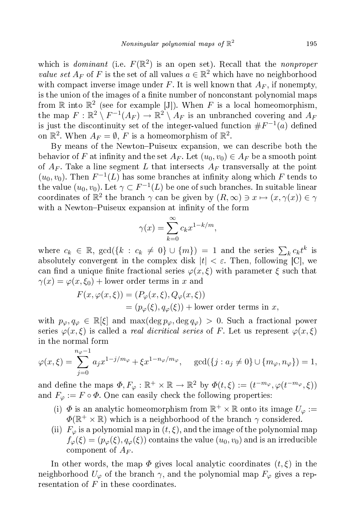which is *dominant* (i.e.  $F(\mathbb{R}^2)$  is an open set). Recall that the *nonproper value set*  $A_F$  of F is the set of all values  $a \in \mathbb{R}^2$  which have no neighborhood with compact inverse image under F. It is well known that  $A_F$ , if nonempty, is the union of the images of a finite number of nonconstant polynomial maps from  $\mathbb R$  into  $\mathbb R^2$  (see for example [J]). When F is a local homeomorphism, the map  $F: \mathbb{R}^2 \setminus F^{-1}(A_F) \to \mathbb{R}^2 \setminus A_F$  is an unbranched covering and  $A_F$ is just the discontinuity set of the integer-valued function  $\#F^{-1}(a)$  defined on  $\mathbb{R}^2$ . When  $A_F = \emptyset$ , F is a homeomorphism of  $\mathbb{R}^2$ .

By means of the Newton-Puiseux expansion, we can describe both the behavior of F at infinity and the set  $A_F$ . Let  $(u_0, v_0) \in A_F$  be a smooth point of  $A_F$ . Take a line segment L that intersects  $A_F$  transversally at the point  $(u_0, v_0)$ . Then  $F^{-1}(L)$  has some branches at infinity along which F tends to the value  $(u_0, v_0)$ . Let  $\gamma \subset F^{-1}(L)$  be one of such branches. In suitable linear coordinates of  $\mathbb{R}^2$  the branch  $\gamma$  can be given by  $(R, \infty) \ni x \mapsto (x, \gamma(x)) \in \gamma$ with a Newton-Puiseux expansion at infinity of the form

$$
\gamma(x) = \sum_{k=0}^{\infty} c_k x^{1-k/m},
$$

where  $c_k \in \mathbb{R}$ ,  $gcd({k : c_k \neq 0} \cup {m}) = 1$  and the series  $\sum_k c_k t^k$  is absolutely convergent in the complex disk  $|t| < \varepsilon$ . Then, following [C], we can find a unique finite fractional series  $\varphi(x,\xi)$  with parameter  $\xi$  such that  $\gamma(x) = \varphi(x, \xi_0) + \text{lower order terms in } x \text{ and}$ 

$$
F(x, \varphi(x,\xi)) = (P_{\varphi}(x,\xi), Q_{\varphi}(x,\xi))
$$
  
=  $(p_{\varphi}(\xi), q_{\varphi}(\xi))$  + lower order terms in x,

with  $p_{\varphi}, q_{\varphi} \in \mathbb{R}[\xi]$  and  $\max(\deg p_{\varphi}, \deg q_{\varphi}) > 0$ . Such a fractional power series  $\varphi(x,\xi)$  is called a *real dicritical series* of F. Let us represent  $\varphi(x,\xi)$ in the normal form

$$
\varphi(x,\xi) = \sum_{j=0}^{n_{\varphi}-1} a_j x^{1-j/m_{\varphi}} + \xi x^{1-n_{\varphi}/m_{\varphi}}, \quad \gcd(\{j : a_j \neq 0\} \cup \{m_{\varphi}, n_{\varphi}\}) = 1,
$$

and define the maps  $\Phi, F_{\varphi} : \mathbb{R}^+ \times \mathbb{R} \to \mathbb{R}^2$  by  $\Phi(t,\xi) := (t^{-m_{\varphi}}, \varphi(t^{-m_{\varphi}}, \xi))$ and  $F_{\varphi} := F \circ \Phi$ . One can easily check the following properties:

- (i)  $\Phi$  is an analytic homeomorphism from  $\mathbb{R}^+ \times \mathbb{R}$  onto its image  $U_{\varphi} :=$  $\Phi(\mathbb{R}^+ \times \mathbb{R})$  which is a neighborhood of the branch  $\gamma$  considered.
- (ii)  $F_{\varphi}$  is a polynomial map in  $(t, \xi)$ , and the image of the polynomial map  $f_{\varphi}(\xi) = (p_{\varphi}(\xi), q_{\varphi}(\xi))$  contains the value  $(u_0, v_0)$  and is an irreducible component of  $A_F$ .

In other words, the map  $\Phi$  gives local analytic coordinates  $(t, \xi)$  in the neighborhood  $U_{\varphi}$  of the branch  $\gamma$ , and the polynomial map  $F_{\varphi}$  gives a representation of  $F$  in these coordinates.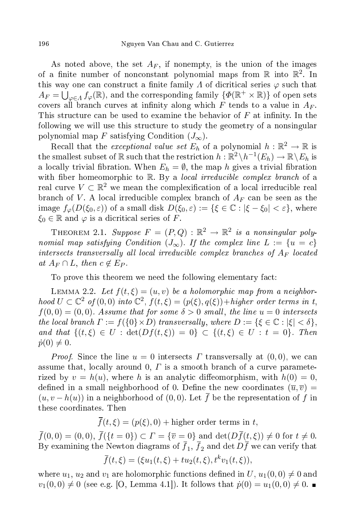As noted above, the set  $A_F$ , if nonempty, is the union of the images of a finite number of nonconstant polynomial maps from  $\mathbb R$  into  $\mathbb R^2$ . In this way one can construct a finite family  $\Lambda$  of dicritical series  $\varphi$  such that  $A_F = \bigcup_{\varphi \in \Lambda} f_{\varphi}(\mathbb{R})$ , and the corresponding family  $\{\Phi(\mathbb{R}^+ \times \mathbb{R})\}$  of open sets covers all branch curves at infinity along which  $F$  tends to a value in  $A_F$ . This structure can be used to examine the behavior of  $F$  at infinity. In the following we will use this structure to study the geometry of a nonsingular polynomial map F satisfying Condition  $(J_{\infty})$ .

Recall that the *exceptional value set*  $E_h$  of a polynomial  $h : \mathbb{R}^2 \to \mathbb{R}$  is the smallest subset of R such that the restriction  $h : \mathbb{R}^2 \setminus h^{-1}(E_h) \to \mathbb{R} \setminus E_h$  is a locally trivial fibration. When  $E_h = \emptyset$ , the map h gives a trivial fibration with fiber homeomorphic to R. By a *local irreducible complex branch* of a real curve  $V \subset \mathbb{R}^2$  we mean the complexification of a local irreducible real branch of V. A local irreducible complex branch of  $A_F$  can be seen as the image  $f_{\varphi}(D(\xi_0, \varepsilon))$  of a small disk  $D(\xi_0, \varepsilon) := {\{\xi \in \mathbb{C} : |\xi - \xi_0| < \varepsilon\}}$ , where  $\xi_0 \in \mathbb{R}$  and  $\varphi$  is a dicritical series of F.

THEOREM 2.1. Suppose  $F = (P, Q) : \mathbb{R}^2 \to \mathbb{R}^2$  is a nonsingular polynomial map satisfying Condition  $(J_{\infty})$ . If the complex line  $L := \{u = c\}$ intersects transversally all local irreducible complex branches of  $A_F$  located at  $A_F \cap L$ , then  $c \notin E_P$ .

To prove this theorem we need the following elementary fact:

LEMMA 2.2. Let  $f(t,\xi)=(u,v)$  be a holomorphic map from a neighborhood  $U \subset \mathbb{C}^2$  of  $(0,0)$  into  $\mathbb{C}^2$ ,  $f(t,\xi) = (p(\xi), q(\xi)) + higher$  order terms in t,  $f(0,0) = (0,0)$ . Assume that for some  $\delta > 0$  small, the line  $u = 0$  intersects the local branch  $\Gamma := f({0} \times D)$  transversally, where  $D := {\{\xi \in \mathbb{C} : |\xi| < \delta\}}$ , and that  $\{(t,\xi) \in U : \det(Df(t,\xi)) = 0\} \subset \{(t,\xi) \in U : t = 0\}$ . Then  $\dot{p}(0) \neq 0.$ 

*Proof.* Since the line  $u = 0$  intersects  $\Gamma$  transversally at  $(0,0)$ , we can assume that, locally around 0,  $\Gamma$  is a smooth branch of a curve parameterized by  $v = h(u)$ , where h is an analytic diffeomorphism, with  $h(0) = 0$ , defined in a small neighborhood of 0. Define the new coordinates  $(\overline{u}, \overline{v})$  =  $(u, v - h(u))$  in a neighborhood of  $(0, 0)$ . Let f be the representation of f in these oordinates. Then

 $\overline{f}(t,\xi) = (p(\xi), 0) + \text{higher order terms in } t,$ 

 $\bar{f}(0,0) = (0,0), \ \bar{f}(\{t=0\}) \subset \Gamma = \{\overline{v} = 0\}$  and  $\det(D\overline{f}(t,\xi)) \neq 0$  for  $t \neq 0$ . By examining the Newton diagrams of  $f_1,\,f_2$  and  $\det Df$  we can verify that

$$
\overline{f}(t,\xi) = (\xi u_1(t,\xi) + tu_2(t,\xi), t^k v_1(t,\xi)),
$$

where  $u_1, u_2$  and  $v_1$  are holomorphic functions defined in  $U, u_1(0,0) \neq 0$  and  $v_1(0,0) \neq 0$  (see e.g. [O, Lemma 4.1]). It follows that  $\dot{p}(0) = u_1(0,0) \neq 0$ .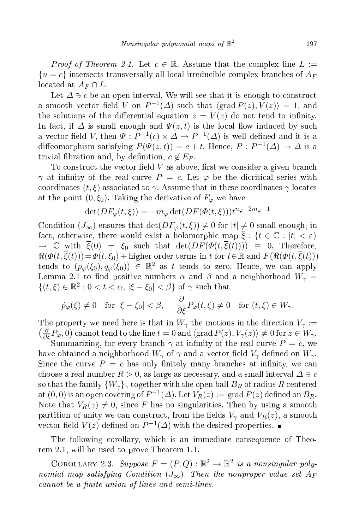*Proof of Theorem 2.1.* Let  $c \in \mathbb{R}$ . Assume that the complex line  $L :=$  $\{u=c\}$  intersects transversally all local irreducible complex branches of  $A_F$ located at  $A_F \cap L$ .

Let  $\Delta \ni c$  be an open interval. We will see that it is enough to construct a smooth vector field V on  $P^{-1}(\Delta)$  such that  $\langle \text{grad } P(z), V(z) \rangle = 1$ , and the solutions of the differential equation  $\dot{z} = V(z)$  do not tend to infinity. In fact, if  $\Delta$  is small enough and  $\Psi(z,t)$  is the local flow induced by such a vector field V, then  $\Psi : P^{-1}(c) \times \Delta \to P^{-1}(\Delta)$  is well defined and it is a diffeomorphism satisfying  $P(\Psi(z,t)) = c + t$ . Hence,  $P : P^{-1}(\Delta) \to \Delta$  is a trivial fibration and, by definition,  $c \notin E_P$ .

To construct the vector field  $V$  as above, first we consider a given branch  $\gamma$  at infinity of the real curve  $P = c$ . Let  $\varphi$  be the dicritical series with coordinates  $(t, \xi)$  associated to  $\gamma$ . Assume that in these coordinates  $\gamma$  locates at the point  $(0,\xi_0)$ . Taking the derivative of  $F_\varphi$  we have

$$
\det(DF_{\varphi}(t,\xi)) = -m_{\varphi}\det(DF(\Phi(t,\xi)))t^{n_{\varphi}-2m_{\varphi}-1}
$$

Condition  $(J_{\infty})$  ensures that  $\det(DF_{\varphi}(t, \xi)) \neq 0$  for  $|t| \neq 0$  small enough; in fact, otherwise, there would exist a holomorphic map  $\overline{\xi}$  :  $\{t \in \mathbb{C} : |t| < \varepsilon\}$  $\rightarrow \mathbb{C}$  with  $\overline{\xi}(0) = \xi_0$  such that  $\det(DF(\Phi(t,\overline{\xi}(t)))) \equiv 0$ . Therefore,  $\Re(\Phi(t,\overline{\xi}(t)))=\Phi(t,\xi_0)+$  higher order terms in t for  $t\in\mathbb{R}$  and  $F(\Re(\Phi(t,\overline{\xi}(t)))$ tends to  $(p_{\varphi}(\xi_0), q_{\varphi}(\xi_0)) \in \mathbb{R}^2$  as t tends to zero. Hence, we can apply Lemma 2.1 to find positive numbers  $\alpha$  and  $\beta$  and a neighborhood  $W_{\gamma}$  =  $\{(t,\xi)\in\mathbb{R}^2: 0 < t < \alpha, |\xi - \xi_0| < \beta\}$  of  $\gamma$  such that

$$
\dot{p}_{\varphi}(\xi) \neq 0
$$
 for  $|\xi - \xi_0| < \beta$ ,  $\frac{\partial}{\partial \xi} P_{\varphi}(t, \xi) \neq 0$  for  $(t, \xi) \in W_{\gamma}$ .

The property we need here is that in  $W_{\gamma}$  the motions in the direction  $V_{\gamma}$  :=  $\left(\frac{\partial}{\partial \xi}P_{\varphi},0\right)$  cannot tend to the line  $t=0$  and  $\langle \mathrm{grad}\, P(z), V_{\gamma}(z)\rangle \neq 0$  for  $z\in W_{\gamma}$ .

Summarizing, for every branch  $\gamma$  at infinity of the real curve  $P = c$ , we have obtained a neighborhood  $W_{\gamma}$  of  $\gamma$  and a vector field  $V_{\gamma}$  defined on  $W_{\gamma}$ . Since the curve  $P = c$  has only finitely many branches at infinity, we can choose a real number  $R > 0$ , as large as necessary, and a small interval  $\Delta \ni c$ so that the family  ${W_{\gamma}}_{\gamma}$  together with the open ball  $B_R$  of radius R centered at  $(0,0)$  is an open covering of  $P^{-1}(\varDelta)$ . Let  $V_R(z):= \operatorname{grad} P(z)$  defined on  $B_R$ . Note that  $V_R(z) \neq 0$ , since F has no singularities. Then by using a smooth partition of unity we can construct, from the fields  $V_{\gamma}$  and  $V_R(z)$ , a smooth vector field  $V(z)$  defined on  $P^{-1}(\Delta)$  with the desired properties.

The following orollary, whi
h is an immediate onsequen
e of Theorem 2.1, will be used to prove Theorem 1.1.

COROLLARY 2.3. Suppose  $F = (P, Q) : \mathbb{R}^2 \to \mathbb{R}^2$  is a nonsingular polynomial map satisfying Condition  $(J_{\infty})$ . Then the nonproper value set  $A_F$ cannot be a finite union of lines and semi-lines.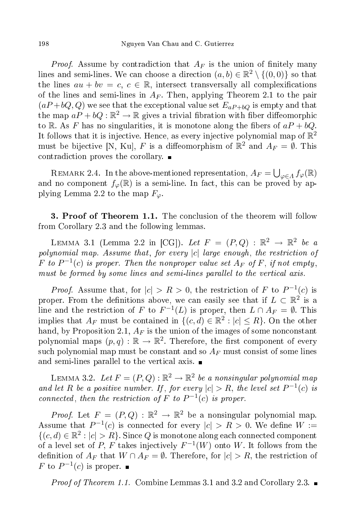*Proof.* Assume by contradiction that  $A_F$  is the union of finitely many lines and semi-lines. We can choose a direction  $(a, b) \in \mathbb{R}^2 \setminus \{(0, 0)\}$  so that the lines  $au + bv = c$ ,  $c \in \mathbb{R}$ , intersect transversally all complexifications of the lines and semi-lines in  $A_F$ . Then, applying Theorem 2.1 to the pair  $(aP+bQ, Q)$  we see that the exceptional value set  $E_{aP+bQ}$  is empty and that the map  $aP + bQ : \mathbb{R}^2 \to \mathbb{R}$  gives a trivial fibration with fiber diffeomorphic to R. As F has no singularities, it is monotone along the fibers of  $aP + bQ$ . It follows that it is injective. Hence, as every injective polynomial map of  $\mathbb{R}^2$ must be bijective [N, Ku], F is a diffeomorphism of  $\mathbb{R}^2$  and  $A_F = \emptyset$ . This contradiction proves the corollary.  $\blacksquare$ 

REMARK 2.4. In the above-mentioned representation,  $A_F = \bigcup_{\varphi \in A} f_{\varphi}(\mathbb{R})$ and no component  $f_{\varphi}(\mathbb{R})$  is a semi-line. In fact, this can be proved by applying Lemma 2.2 to the map  $F_{\varphi}$ .

**3. Proof of Theorem 1.1.** The conclusion of the theorem will follow from Corollary 2.3 and the following lemmas.

LEMMA 3.1 (Lemma 2.2 in [CG]). Let  $F = (P, Q) : \mathbb{R}^2 \to \mathbb{R}^2$  be a polynomial map. Assume that, for every  $|c|$  large enough, the restriction of F to  $P^{-1}(c)$  is proper. Then the nonproper value set  $A_F$  of F, if not empty, must be formed by some lines and semi-lines parallel to the vertical axis.

*Proof.* Assume that, for  $|c| > R > 0$ , the restriction of F to  $P^{-1}(c)$  is proper. From the definitions above, we can easily see that if  $L \subset \mathbb{R}^2$  is a line and the restriction of F to  $F^{-1}(L)$  is proper, then  $L \cap A_F = \emptyset$ . This implies that  $A_F$  must be contained in  $\{(c, d) \in \mathbb{R}^2 : |c| \leq R\}$ . On the other hand, by Proposition 2.1,  $A_F$  is the union of the images of some nonconstant polynomial maps  $(p, q) : \mathbb{R} \to \mathbb{R}^2$ . Therefore, the first component of every such polynomial map must be constant and so  $A_F$  must consist of some lines and semi-lines parallel to the vertical axis.  $\blacksquare$ 

LEMMA 3.2. Let  $F = (P,Q) : \mathbb{R}^2 \to \mathbb{R}^2$  be a nonsingular polynomial map and let R be a positive number. If, for every  $|c| > R$ , the level set  $P^{-1}(c)$  is connected, then the restriction of F to  $P^{-1}(c)$  is proper.

*Proof.* Let  $F = (P,Q) : \mathbb{R}^2 \to \mathbb{R}^2$  be a nonsingular polynomial map. Assume that  $P^{-1}(c)$  is connected for every  $|c| > R > 0$ . We define  $W :=$  $\{(c, d) \in \mathbb{R}^2 : |c| > R\}$ . Since Q is monotone along each connected component of a level set of P, F takes injectively  $F^{-1}(W)$  onto W. It follows from the definition of  $A_F$  that  $W \cap A_F = \emptyset$ . Therefore, for  $|c| > R$ , the restriction of F to  $P^{-1}(c)$  is proper.

*Proof of Theorem 1.1.* Combine Lemmas 3.1 and 3.2 and Corollary 2.3.  $\blacksquare$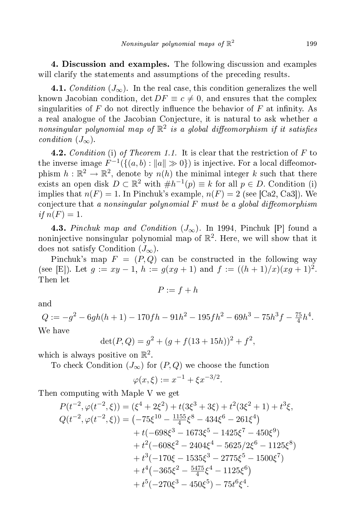4. Discussion and examples. The following discussion and examples will clarify the statements and assumptions of the preceding results.

4.1. Condition  $(J_{\infty})$ . In the real case, this condition generalizes the well known Jacobian condition,  $\det DF \equiv c \neq 0$ , and ensures that the complex singularities of  $F$  do not directly influence the behavior of  $F$  at infinity. As a real analogue of the Jacobian Conjecture, it is natural to ask whether a nonsingular polynomial map of  $\mathbb{R}^2$  is a global diffeomorphism if it satisfies condition  $(J_{\infty})$ .

**4.2.** Condition (i) of Theorem 1.1. It is clear that the restriction of  $F$  to the inverse image  $F^{-1}(\{(a,b) : ||a|| \gg 0\})$  is injective. For a local diffeomorphism  $h : \mathbb{R}^2 \to \mathbb{R}^2$ , denote by  $n(h)$  the minimal integer k such that there exists an open disk  $D \subset \mathbb{R}^2$  with  $\#h^{-1}(p) \equiv k$  for all  $p \in D$ . Condition (i) implies that  $n(F) = 1$ . In Pinchuk's example,  $n(F) = 2$  (see [Ca2, Ca3]). We conjecture that a nonsingular polynomial  $F$  must be a global diffeomorphism if  $n(F) = 1$ .

4.3. Pinchuk map and Condition  $(J_{\infty})$ . In 1994, Pinchuk [P] found a noninjective nonsingular polynomial map of  $\mathbb{R}^2$ . Here, we will show that it does not satisfy Condition  $(J_{\infty})$ .

Pinchuk's map  $F = (P,Q)$  can be constructed in the following way (see [E]). Let  $g := xy - 1$ ,  $h := g(xg + 1)$  and  $f := ((h + 1)/x)(xg + 1)^2$ . Then let

$$
P := f + h
$$

 $\quad {\rm and} \quad$ 

 $Q := -g^2 - 6gh(h+1) - 170fh - 91h^2 - 195fh^2 - 69h^3 - 75h^3f - \frac{75}{4}$  $\frac{75}{4}h^4$ . We have

$$
\det(P,Q) = g^2 + (g + f(13 + 15h))^2 + f^2,
$$

which is always positive on  $\mathbb{R}^2$ .

To check Condition  $(J_{\infty})$  for  $(P,Q)$  we choose the function

$$
\varphi(x,\xi) := x^{-1} + \xi x^{-3/2}.
$$

Then omputing with Maple V we get

$$
P(t^{-2}, \varphi(t^{-2}, \xi)) = (\xi^4 + 2\xi^2) + t(3\xi^3 + 3\xi) + t^2(3\xi^2 + 1) + t^3\xi,
$$
  
\n
$$
Q(t^{-2}, \varphi(t^{-2}, \xi)) = (-75\xi^{10} - \frac{1155}{4}\xi^8 - 434\xi^6 - 261\xi^4) + t(-698\xi^3 - 1673\xi^5 - 1425\xi^7 - 450\xi^9) + t^2(-608\xi^2 - 2404\xi^4 - 5625/2\xi^6 - 1125\xi^8) + t^3(-170\xi - 1535\xi^3 - 2775\xi^5 - 1500\xi^7) + t^4(-365\xi^2 - \frac{5475}{4}\xi^4 - 1125\xi^6) + t^5(-270\xi^3 - 450\xi^5) - 75t^6\xi^4.
$$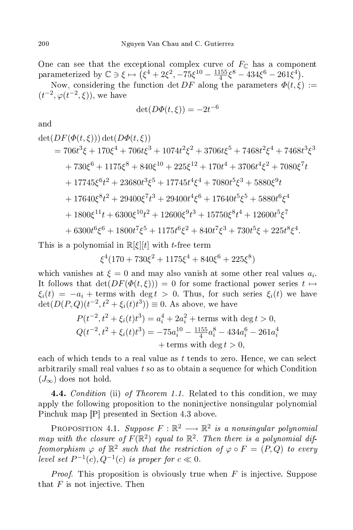One can see that the exceptional complex curve of  $F_{\mathbb{C}}$  has a component parameterized by  $\mathbb{C} \ni \xi \mapsto (\xi^4 + 2\xi^2, -75\xi^{10} - \frac{1155}{4})$  $\frac{4155}{4}\xi^8 - 434\xi^6 - 261\xi^4$ 

Now, considering the function det DF along the parameters  $\Phi(t,\xi)$  :=  $(t^{-2}, \varphi(t^{-2}, \xi))$ , we have

$$
\det(D\varPhi(t,\xi)) = -2t^{-6}
$$

 $\quad {\rm and} \quad$ 

$$
det(DF(\Phi(t,\xi))) det(D\Phi(t,\xi))
$$
  
= 706t<sup>3</sup>ξ + 170ξ<sup>4</sup> + 706tξ<sup>3</sup> + 1074t<sup>2</sup>ξ<sup>2</sup> + 3706tξ<sup>5</sup> + 7468t<sup>2</sup>ξ<sup>4</sup> + 7468t<sup>3</sup>ξ<sup>3</sup>  
+ 730ξ<sup>6</sup> + 1175ξ<sup>8</sup> + 840ξ<sup>10</sup> + 225ξ<sup>12</sup> + 170t<sup>4</sup> + 3706t<sup>4</sup>ξ<sup>2</sup> + 7080ξ<sup>7</sup>t  
+ 17745ξ<sup>6</sup>t<sup>2</sup> + 23680t<sup>3</sup>ξ<sup>5</sup> + 17745t<sup>4</sup>ξ<sup>4</sup> + 7080t<sup>5</sup>ξ<sup>3</sup> + 5880ξ<sup>9</sup>t  
+ 17640ξ<sup>8</sup>t<sup>2</sup> + 29400ξ<sup>7</sup>t<sup>3</sup> + 29400t<sup>4</sup>ξ<sup>6</sup> + 17640t<sup>5</sup>ξ<sup>5</sup> + 5880t<sup>6</sup>ξ<sup>4</sup>  
+ 1800ξ<sup>11</sup>t + 6300ξ<sup>10</sup>t<sup>2</sup> + 12600ξ<sup>9</sup>t<sup>3</sup> + 15750ξ<sup>8</sup>t<sup>4</sup> + 12600t<sup>5</sup>ξ<sup>7</sup>  
+ 6300t<sup>6</sup>ξ<sup>6</sup> + 1800t<sup>7</sup>ξ<sup>5</sup> + 1175t<sup>6</sup>ξ<sup>2</sup> + 840t<sup>7</sup>ξ<sup>3</sup> + 730t<sup>5</sup>ξ + 225t<sup>8</sup>ξ<sup>4</sup>.

This is a polynomial in  $\mathbb{R}[\xi][t]$  with *t*-free term

$$
\xi^4(170+730\xi^2+1175\xi^4+840\xi^6+225\xi^8)
$$

which vanishes at  $\xi = 0$  and may also vanish at some other real values  $a_i$ . It follows that  $\det(DF(\Phi(t,\xi))) = 0$  for some fractional power series  $t \mapsto$  $\xi_i(t) = -a_i + \text{terms with } \deg t > 0.$  Thus, for such series  $\xi_i(t)$  we have  $\det(D(P,Q)(t^{-2}, t^2 + \xi_i(t)t^3)) \equiv 0.$  As above, we have

$$
P(t^{-2}, t^2 + \xi_i(t)t^3) = a_i^4 + 2a_i^2 + \text{terms with } \deg t > 0,
$$
  
\n
$$
Q(t^{-2}, t^2 + \xi_i(t)t^3) = -75a_i^{10} - \frac{1155}{4}a_i^8 - 434a_i^6 - 261a_i^4 + \text{terms with } \deg t > 0,
$$

each of which tends to a real value as  $t$  tends to zero. Hence, we can select arbitrarily small real values t so as to obtain a sequen
e for whi
h Condition  $(J_{\infty})$  does not hold.

**4.4.** Condition (ii) of Theorem 1.1. Related to this condition, we may apply the following proposition to the noninjective nonsingular polynomial Pinchuk map [P] presented in Section 4.3 above.

PROPOSITION 4.1. Suppose  $F : \mathbb{R}^2 \longrightarrow \mathbb{R}^2$  is a nonsingular polynomial map with the closure of  $F(\mathbb{R}^2)$  equal to  $\mathbb{R}^2$ . Then there is a polynomial diffeomorphism  $\varphi$  of  $\mathbb{R}^2$  such that the restriction of  $\varphi \circ F = (P,Q)$  to every level set  $P^{-1}(c)$ ,  $Q^{-1}(c)$  is proper for  $c \ll 0$ .

*Proof.* This proposition is obviously true when  $F$  is injective. Suppose that  $F$  is not injective. Then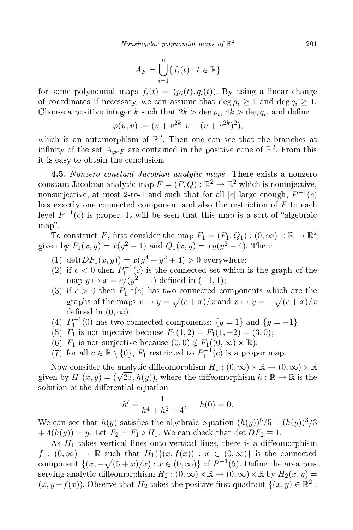$$
A_F = \bigcup_{i=1}^n \{f_i(t) : t \in \mathbb{R}\}
$$

for some polynomial maps  $f_i(t) = (p_i(t), q_i(t))$ . By using a linear change of coordinates if necessary, we can assume that  $\deg p_i \geq 1$  and  $\deg q_i \geq 1$ . Choose a positive integer k such that  $2k > \deg p_i$ ,  $4k > \deg q_i$ , and define

$$
\varphi(u, v) := (u + v^{2k}, v + (u + v^{2k})^2),
$$

which is an automorphism of  $\mathbb{R}^2$ . Then one can see that the branches at infinity of the set  $A_{\varphi \circ F}$  are contained in the positive cone of  $\mathbb{R}^2$ . From this it is easy to obtain the on
lusion.

4.5. Nonzero constant Jacobian analytic maps. There exists a nonzero constant Jacobian analytic map  $F = (P, Q) : \mathbb{R}^2 \to \mathbb{R}^2$  which is noninjective, nonsurjective, at most 2-to-1 and such that for all  $|c|$  large enough,  $P^{-1}(c)$ has exactly one connected component and also the restriction of F to each level  $P^{-1}(c)$  is proper. It will be seen that this map is a sort of "algebraic map".

To construct F, first consider the map  $F_1 = (P_1, Q_1) : (0, \infty) \times \mathbb{R} \to \mathbb{R}^2$ given by  $P_1(x, y) = x(y^2 - 1)$  and  $Q_1(x, y) = xy(y^2 - 4)$ . Then:

- (1) det $(DF_1(x,y)) = x(y^4 + y^2 + 4) > 0$  everywhere;
- (2) if  $c < 0$  then  $P_1^{-1}(c)$  is the connected set which is the graph of the map  $y \mapsto x = c/(y^2 - 1)$  defined in  $(-1, 1)$ ;
- (3) if  $c > 0$  then  $P_1^{-1}(c)$  has two connected components which are the graphs of the maps  $x \mapsto y = \sqrt{(c + x)/x}$  and  $x \mapsto y = -\sqrt{(c + x)/x}$ defined in  $(0, \infty)$ ;
- (4)  $P_1^{-1}(0)$  has two connected components:  $\{y=1\}$  and  $\{y=-1\}$ ;
- (5)  $\overline{F_1}$  is not injective because  $F_1(1,2) = F_1(1,-2) = (3,0);$
- (6)  $F_1$  is not surjective because  $(0,0) \notin F_1((0,\infty) \times \mathbb{R})$ ;
- (7) for all  $c \in \mathbb{R} \setminus \{0\}$ ,  $F_1$  restricted to  $P_1^{-1}(c)$  is a proper map.

Now consider the analytic diffeomorphism  $H_1 : (0, \infty) \times \mathbb{R} \to (0, \infty) \times \mathbb{R}$ given by  $H_1(x, y) = (\sqrt{2x}, h(y))$ , where the diffeomorphism  $h : \mathbb{R} \to \mathbb{R}$  is the solution of the differential equation

$$
h' = \frac{1}{h^4 + h^2 + 4}, \quad h(0) = 0.
$$

We can see that  $h(y)$  satisfies the algebraic equation  $(h(y))^{5}/5 + (h(y))^{3}/3$  $+4(h(y)) = y$ . Let  $F_2 = F_1 \circ H_1$ . We can check that  $\det DF_2 \equiv 1$ .

As  $H_1$  takes vertical lines onto vertical lines, there is a diffeomorphism  $f:(0,\infty) \to \mathbb{R}$  such that  $H_1(\{(x,f(x)): x \in (0,\infty)\}\)$  is the connected component  $\{(x, -\sqrt{(5+x)/x}) : x \in (0, \infty)\}$  of  $P^{-1}(5)$ . Define the area preserving analytic diffeomorphism  $H_2 : (0, \infty) \times \mathbb{R} \to (0, \infty) \times \mathbb{R}$  by  $H_2(x, y) =$  $(x, y + f(x))$ . Observe that  $H_2$  takes the positive first quadrant  $\{(x, y) \in \mathbb{R}^2 :$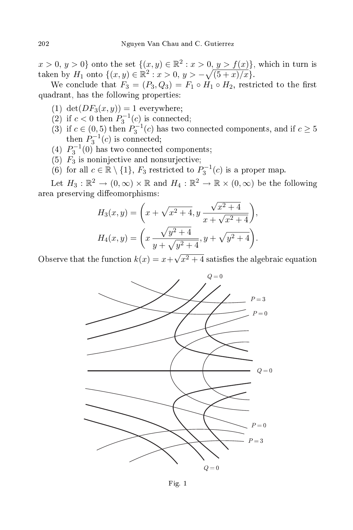$x > 0, y > 0$  onto the set  $\{(x, y) \in \mathbb{R}^2 : x > 0, y > f(x)\}$ , which in turn is taken by  $H_1$  onto  $\{(x, y) \in \mathbb{R}^2 : x > 0, y > -\sqrt{(5 + x)/x}\}.$ 

We conclude that  $F_3 = (P_3, Q_3) = F_1 \circ H_1 \circ H_2$ , restricted to the first quadrant, has the following properties:

- (1)  $\det(DF_3(x, y)) = 1$  everywhere;
- (2) if  $c < 0$  then  $P_3^{-1}(c)$  is connected;
- (3) if  $c \in (0,5)$  then  $P_3^{-1}(c)$  has two connected components, and if  $c \ge 5$ then  $P_3^{-1}(c)$  is connected;
- (4)  $P_3^{-1}(0)$  has two connected components;
- (5)  $F_3$  is noninjective and nonsurjective;
- (6) for all  $c \in \mathbb{R} \setminus \{1\}$ ,  $F_3$  restricted to  $P_3^{-1}(c)$  is a proper map.

Let  $H_3: \mathbb{R}^2 \to (0, \infty) \times \mathbb{R}$  and  $H_4: \mathbb{R}^2 \to \mathbb{R} \times (0, \infty)$  be the following area preserving diffeomorphisms:

$$
H_3(x, y) = \left(x + \sqrt{x^2 + 4}, y \frac{\sqrt{x^2 + 4}}{x + \sqrt{x^2 + 4}}\right),
$$
  

$$
H_4(x, y) = \left(x \frac{\sqrt{y^2 + 4}}{y + \sqrt{y^2 + 4}}, y + \sqrt{y^2 + 4}\right).
$$

Observe that the function  $k(x) = x + \sqrt{x^2 + 4}$  satisfies the algebraic equation



Fig. 1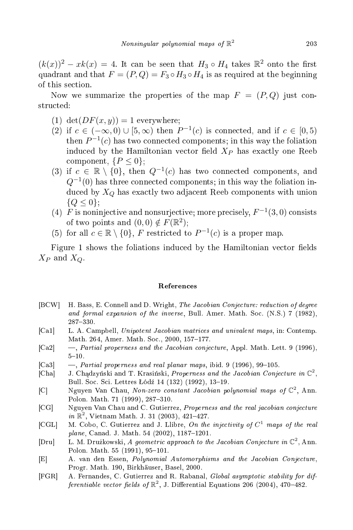$(k(x))^2 - xk(x) = 4$ . It can be seen that  $H_3 \circ H_4$  takes  $\mathbb{R}^2$  onto the first quadrant and that  $F = (P, Q) = F_3 \circ H_3 \circ H_4$  is as required at the beginning of this se
tion.

Now we summarize the properties of the map  $F = (P,Q)$  just constructed:

- (1) det $(DF(x, y)) = 1$  everywhere;
- (2) if  $c \in (-\infty, 0) \cup [5, \infty)$  then  $P^{-1}(c)$  is connected, and if  $c \in [0, 5)$ then  $P^{-1}(c)$  has two connected components; in this way the foliation induced by the Hamiltonian vector field  $X_P$  has exactly one Reeb component,  $\{P \leq 0\}$ ;
- (3) if  $c \in \mathbb{R} \setminus \{0\}$ , then  $Q^{-1}(c)$  has two connected components, and  $Q^{-1}(0)$  has three connected components; in this way the foliation induced by  $X_Q$  has exactly two adjacent Reeb components with union  ${Q \leq 0}$ :
- (4)  $\overline{F}$  is noninjective and nonsurjective; more precisely,  $F^{-1}(3,0)$  consists of two points and  $(0,0) \notin F(\mathbb{R}^2);$
- (5) for all  $c \in \mathbb{R} \setminus \{0\}$ , F restricted to  $P^{-1}(c)$  is a proper map.

Figure 1 shows the foliations induced by the Hamiltonian vector fields  $X_P$  and  $X_Q$ .

## **References**

- [BCW] H. Bass, E. Connell and D. Wright, The Jacobian Conjecture: reduction of degree and formal expansion of the inverse, Bull. Amer. Math. Soc. (N.S.) 7 (1982),
- [Ca1] L. A. Campbell, Unipotent Jacobian matrices and univalent maps, in: Contemp. Math. 264, Amer. Math. Soc., 2000, 157-177.
- [Ca2]  $-$ , Partial properness and the Jacobian conjecture, Appl. Math. Lett. 9 (1996),  $5 - 10.$
- [Ca3]  $-$ , Partial properness and real planar maps, ibid. 9 (1996), 99-105.
- [Cha] J. Chadzyński and T. Krasiński, Properness and the Jacobian Conjecture in  $\mathbb{C}^2$ , Bull. Soc. Sci. Lettres Łódź 14 (132) (1992), 13-19.
- [C] Nguyen Van Chau, Non-zero constant Jacobian polynomial maps of  $\mathbb{C}^2$ , Ann. Polon. Math. 71 (1999), 287-310.
- [CG] Nguyen Van Chau and C. Gutierrez, Properness and the real jacobian conjecture  $in \ \mathbb{R}^2$ , Vietnam Math. J. 31 (2003), 421-427.
- [CGL] M. Cobo, C. Gutierrez and J. Llibre, On the injectivity of  $C^1$  maps of the real  $plane, Canada. J. Math. 54 (2002), 1187-1201.$
- [Dru] L. M. Drużkowski, A geometric approach to the Jacobian Conjecture in  $\mathbb{C}^2$ , Ann. Polon. Math. 55 (1991), 95-101.
- [E] A. van den Essen, *Polynomial Automorphisms and the Jacobian Conjecture*, Progr. Math. 190, Birkhäuser, Basel, 2000.
- [FGR] A. Fernandes, C. Gutierrez and R. Rabanal, Global asymptotic stability for differentiable vector fields of  $\mathbb{R}^2$ , J. Differential Equations 206 (2004), 470–482.